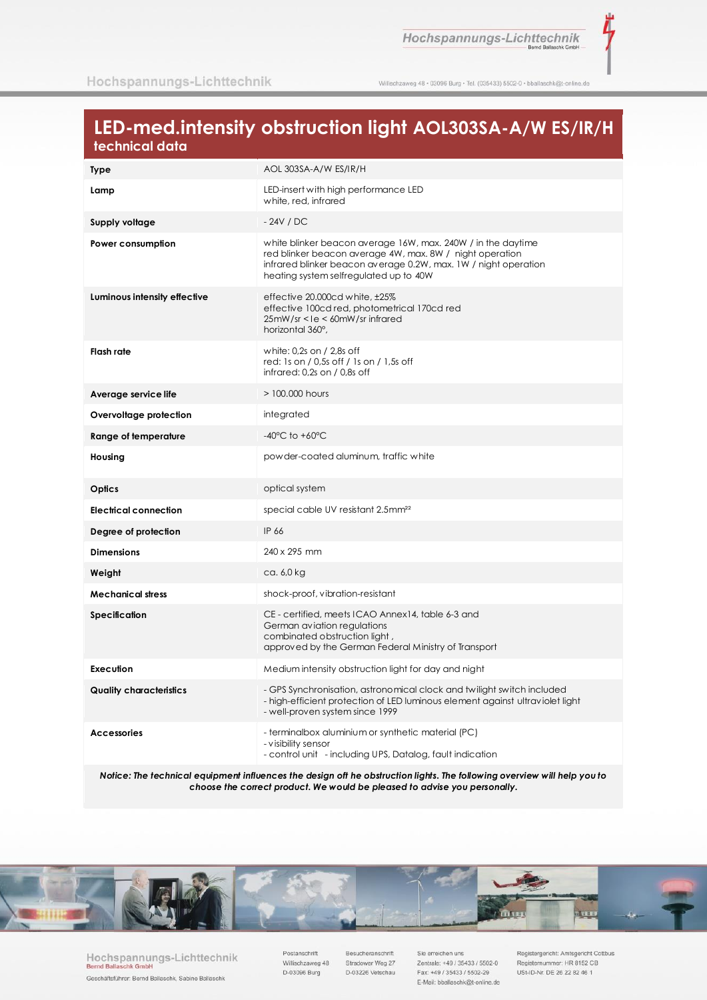ī

Willischzaweg 48 · 03096 Burg · Tel. (035433) 5502-0 · bballaschk@t-online.de

# LED-med.intensity obstruction light AOL303SA-A/W ES/IR/H technical data

| <b>Type</b>                    | AOL 303SA-A/W ES/IR/H                                                                                                                                                                                                                 |
|--------------------------------|---------------------------------------------------------------------------------------------------------------------------------------------------------------------------------------------------------------------------------------|
| Lamp                           | LED-insert with high performance LED<br>white, red, infrared                                                                                                                                                                          |
| Supply voltage                 | $-24V / DC$                                                                                                                                                                                                                           |
| Power consumption              | white blinker beacon average 16W, max. 240W / in the daytime<br>red blinker beacon average 4W, max. 8W / night operation<br>infrared blinker beacon average 0.2W, max. 1W / night operation<br>heating system selfregulated up to 40W |
| Luminous intensity effective   | effective 20.000cd white, ±25%<br>effective 100cd red, photometrical 170cd red<br>25mW/sr <1e < 60mW/sr infrared<br>horizontal 360°,                                                                                                  |
| Flash rate                     | white: 0,2s on / 2,8s off<br>red: 1s on / 0,5s off / 1s on / 1,5s off<br>$infrared: 0.2s$ on $/$ 0.8s off                                                                                                                             |
| Average service life           | > 100,000 hours                                                                                                                                                                                                                       |
| Overvoltage protection         | integrated                                                                                                                                                                                                                            |
| Range of temperature           | $-40^{\circ}$ C to $+60^{\circ}$ C                                                                                                                                                                                                    |
| Housing                        | powder-coated aluminum, traffic white                                                                                                                                                                                                 |
| Optics                         | optical system                                                                                                                                                                                                                        |
| <b>Electrical connection</b>   | special cable UV resistant 2.5mm <sup>22</sup>                                                                                                                                                                                        |
| Degree of protection           | IP 66                                                                                                                                                                                                                                 |
| <b>Dimensions</b>              | 240 x 295 mm                                                                                                                                                                                                                          |
| Weight                         | ca. 6,0 kg                                                                                                                                                                                                                            |
| <b>Mechanical stress</b>       | shock-proof, vibration-resistant                                                                                                                                                                                                      |
| <b>Specification</b>           | CE - certified, meets ICAO Annex14, table 6-3 and<br>German aviation regulations<br>combinated obstruction light,<br>approved by the German Federal Ministry of Transport                                                             |
| Execution                      | Medium intensity obstruction light for day and night                                                                                                                                                                                  |
| <b>Quality characteristics</b> | - GPS Synchronisation, astronomical clock and twilight switch included<br>- high-efficient protection of LED luminous element against ultraviolet light<br>- well-proven system since 1999                                            |
| <b>Accessories</b>             | - terminalbox aluminium or synthetic material (PC)<br>- visibility sensor<br>- control unit - including UPS, Datalog, fault indication                                                                                                |

Notice: The technical equipment influences the design oft he obstruction lights. The following overview will help you to choose the correct product. We would be pleased to advise you personally.



Hochspannungs-Lichttechnik **Bernd Ballas** chk G Geschäftsführer: Bernd Ballaschk, Sabine Ballaschk

Postanschrift Willischzaweg 48 D-03096 Burg

Besucheranschrift Stradower Weg 27 D-03226 Vetschau

Sie erreichen uns Zentrale: +49 / 35433 / 5502-0 Fax: +49 / 35433 / 5502-29 E-Mail: bballaschk@t-online.de

Registergericht: Amtsgericht Cottbus Registernummer: HR 8152 CB USt-ID-Nr. DE 26 22 82 46 1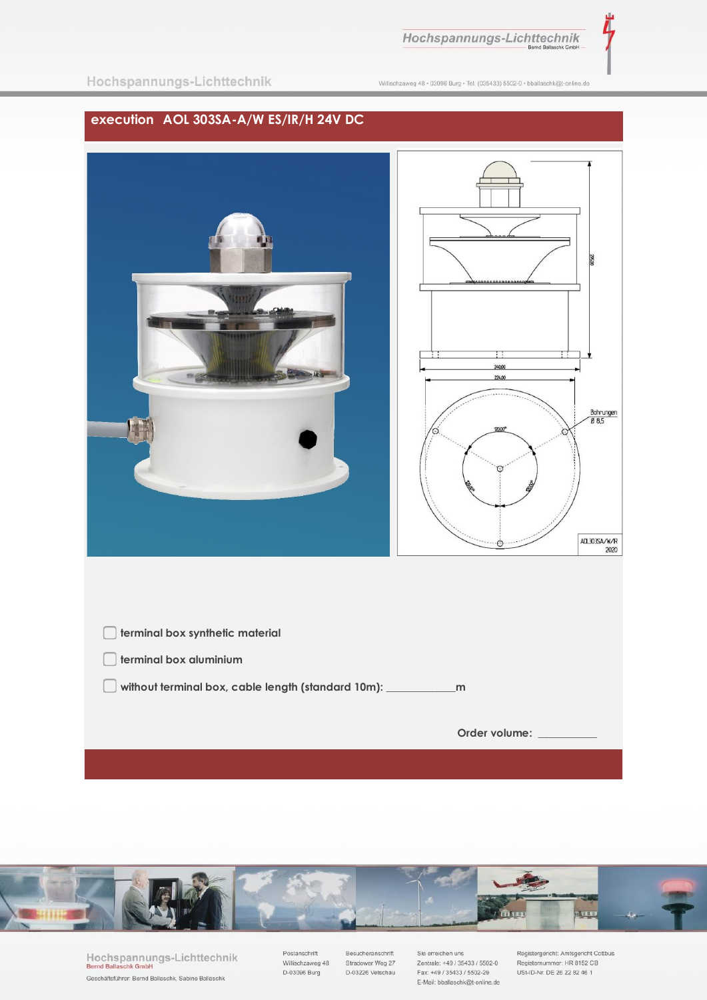Willischzaweg 48 · 03096 Burg · Tel. (035433) 5502-0 · bballaschk@t-online.de

## execution AOL 303SA-A/W ES/IR/H 24V DC





Hochspannungs-Lichttechnik **Bernd Balla**  $chk$   $G$ Geschäftsführer: Bernd Ballaschk, Sabine Ballaschk

Postanschrift Willischzaweg 48 D-03096 Burg

Besucheranschrift Stradower Weg 27 D-03226 Vetschau

Sie erreichen uns Zentrale: +49 / 35433 / 5502-0 Fax: +49 / 35433 / 5502-29 E-Mail: bballaschk@t-online.de

Registergericht: Amtsgericht Cottbus Registernummer: HR 8152 CB<br>USt-ID-Nr. DE 26 22 82 46 1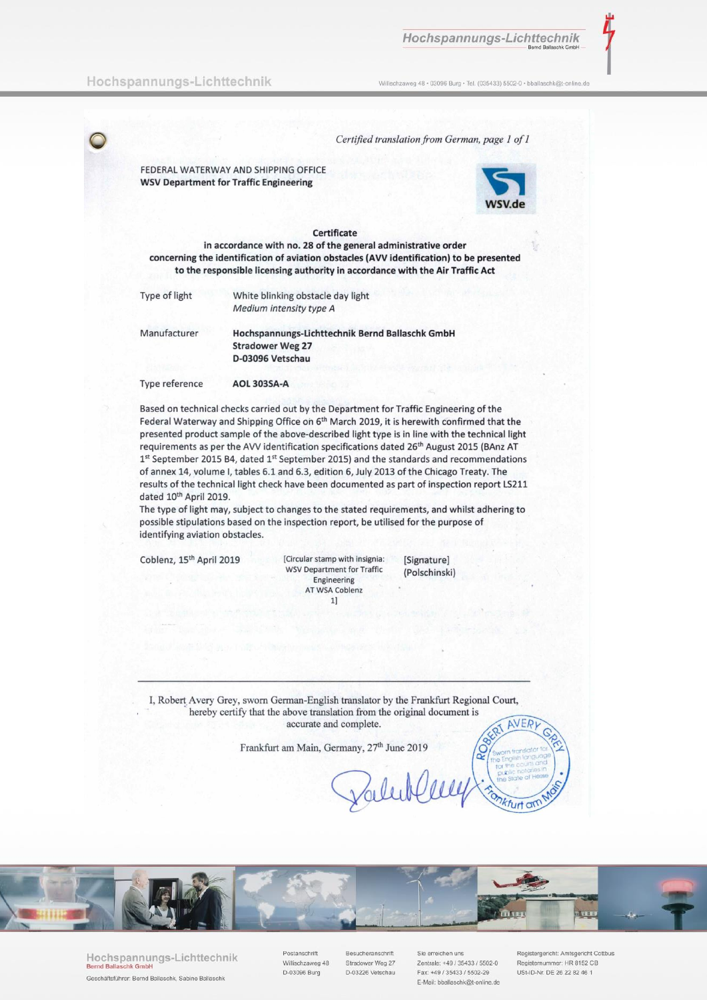Willischzaweg 48 · 03096 Burg · Tel. (035433) 5502-0 · bballaschk@t-online.de

Certified translation from German, page 1 of 1

FEDERAL WATERWAY AND SHIPPING OFFICE **WSV Department for Traffic Engineering** 



#### Certificate

in accordance with no. 28 of the general administrative order concerning the identification of aviation obstacles (AVV identification) to be presented to the responsible licensing authority in accordance with the Air Traffic Act

| ype of light | White blinking obstacle day light |
|--------------|-----------------------------------|
|              | Medium intensity type A           |

Manufacturer

T

Hochspannungs-Lichttechnik Bernd Ballaschk GmbH **Stradower Weg 27** D-03096 Vetschau

Type reference **AOL 303SA-A** 

Based on technical checks carried out by the Department for Traffic Engineering of the Federal Waterway and Shipping Office on 6<sup>th</sup> March 2019, it is herewith confirmed that the presented product sample of the above-described light type is in line with the technical light requirements as per the AVV identification specifications dated 26<sup>th</sup> August 2015 (BAnz AT 1st September 2015 B4, dated 1st September 2015) and the standards and recommendations of annex 14, volume I, tables 6.1 and 6.3, edition 6, July 2013 of the Chicago Treaty. The results of the technical light check have been documented as part of inspection report LS211 dated 10<sup>th</sup> April 2019.

The type of light may, subject to changes to the stated requirements, and whilst adhering to possible stipulations based on the inspection report, be utilised for the purpose of identifying aviation obstacles.

Coblenz, 15<sup>th</sup> April 2019

[Circular stamp with insignia: **WSV Department for Traffic** Engineering AT WSA Coblenz  $1]$ 

[Signature] (Polschinski)

I, Robert Avery Grey, sworn German-English translator by the Frankfurt Regional Court, hereby certify that the above translation from the original document is accurate and complete. AVERI

Frankfurt am Main, Germany, 27<sup>th</sup> June 2019



Hochspannungs-Lichttechnik Geschäftsführer: Bernd Ballaschk, Sabine Ballaschk

Postanschrift Willischzaweg 48 D-03096 Burg

Besucheranschrift Stradower Weg 27 D-03226 Vetschau

Sie erreichen uns Zentrale: +49 / 35433 / 5502-0 Fax: +49 / 35433 / 5502-29 E-Mail: bballaschk@t-online.de

Registergericht: Amtsgericht Cottbus Registernummer: HR 8152 CB USt-ID-Nr. DF 26 22 82 46 1

furt an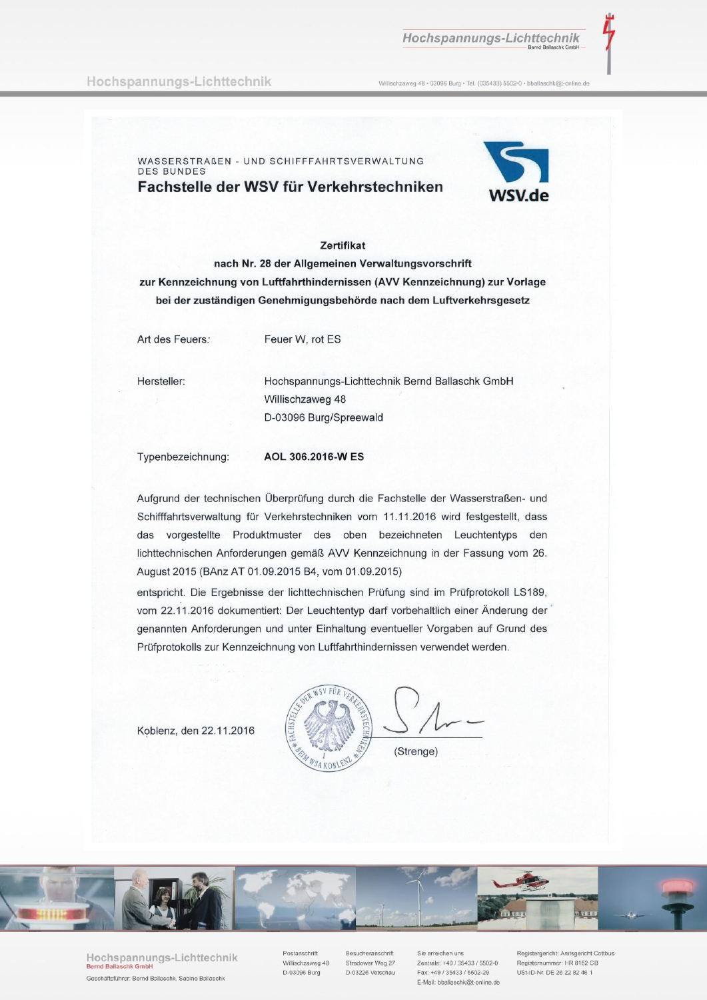### Hochspannungs-Lichttechnik

Willischzaweg 48 · 03096 Burg · Tel. (035433) 5502-0 · bballaschk@t-online.de

WASSERSTRAßEN - UND SCHIFFFAHRTSVERWALTUNG **DES BUNDES** Fachstelle der WSV für Verkehrstechniken



### **Zertifikat**

nach Nr. 28 der Allgemeinen Verwaltungsvorschrift zur Kennzeichnung von Luftfahrthindernissen (AVV Kennzeichnung) zur Vorlage bei der zuständigen Genehmigungsbehörde nach dem Luftverkehrsgesetz

Art des Feuers:

Feuer W, rot ES

Hersteller:

Hochspannungs-Lichttechnik Bernd Ballaschk GmbH Willischzaweg 48 D-03096 Burg/Spreewald

Typenbezeichnung:

AOL 306.2016-W ES

Aufgrund der technischen Überprüfung durch die Fachstelle der Wasserstraßen- und Schifffahrtsverwaltung für Verkehrstechniken vom 11.11.2016 wird festgestellt, dass das vorgestellte Produktmuster des oben bezeichneten Leuchtentyps den lichttechnischen Anforderungen gemäß AVV Kennzeichnung in der Fassung vom 26. August 2015 (BAnz AT 01.09.2015 B4, vom 01.09.2015)

entspricht. Die Ergebnisse der lichttechnischen Prüfung sind im Prüfprotokoll LS189, vom 22.11.2016 dokumentiert: Der Leuchtentyp darf vorbehaltlich einer Änderung der genannten Anforderungen und unter Einhaltung eventueller Vorgaben auf Grund des Prüfprotokolls zur Kennzeichnung von Luftfahrthindernissen verwendet werden.

Koblenz, den 22.11.2016





Hochspannungs-Lichttechnik Geschäftsführer: Bernd Ballaschk, Sabine Ballaschk

Postanschrift Willischzaweg 48 D-03096 Burg

Besucheranschrift Stradower Weg 27 D-03226 Vetschau

Sie erreichen uns Zentrale: +49 / 35433 / 5502-0 Fax: +49 / 35433 / 5502-29 E-Mail: bballaschk@t-online.de

Registergericht: Amtsgericht Cottbus Registernummer: HR 8152 CB USt-ID-Nr. DF 26 22 82 46 1